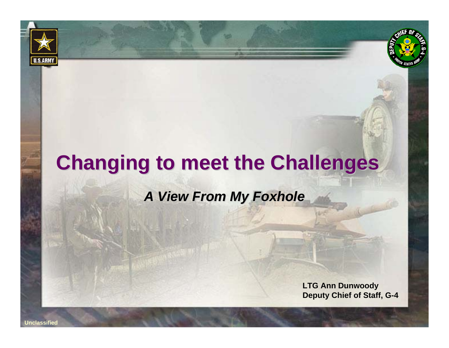# **Changing to meet the Challenges Changing to meet the Challenges**

### *A View From My Foxhole A View From My Foxhole*

**LTG Ann Dunwoody Deputy Chief of Staff, G-4**

**U.S.ARMY**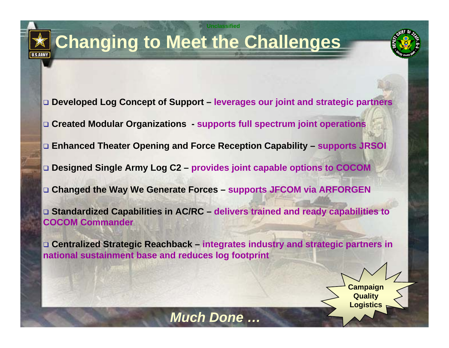## **Changing to Meet the Challenges**

**U.S.ARMY** 

**Developed Log Concept of Support – leverages our joint and strategic partners**

**Unclassified**

- **Created Modular Organizations - supports full spectrum joint operations**
- **Enhanced Theater Opening and Force Reception Capability – supports JRSOI**
- **Designed Single Army Log C2 – provides joint capable options to COCOM**
- **Changed the Way We Generate Forces – supports JFCOM via ARFORGEN**

 **Standardized Capabilities in AC/RC – delivers trained and ready capabilities to COCOM Commander**

 **Centralized Strategic Reachback – integrates industry and strategic partners in national sustainment base and reduces log footprint**

**Campaign Quality Logistics**

*Much Done …*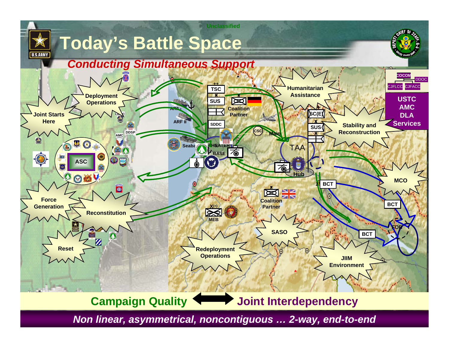